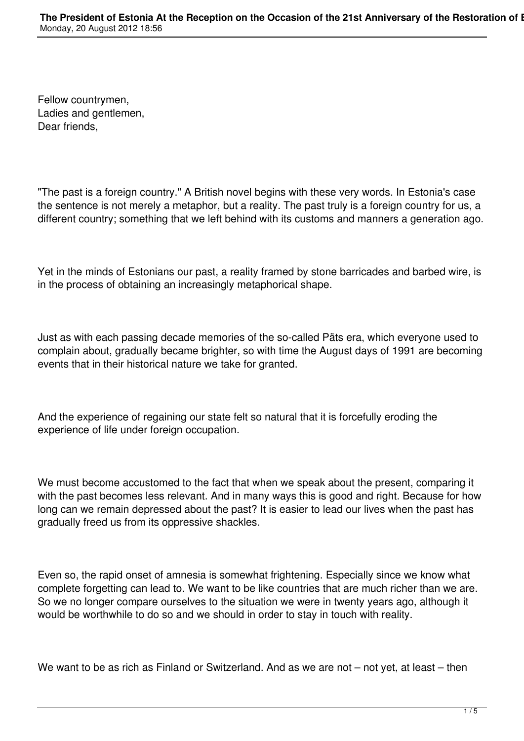Fellow countrymen, Ladies and gentlemen, Dear friends,

"The past is a foreign country." A British novel begins with these very words. In Estonia's case the sentence is not merely a metaphor, but a reality. The past truly is a foreign country for us, a different country; something that we left behind with its customs and manners a generation ago.

Yet in the minds of Estonians our past, a reality framed by stone barricades and barbed wire, is in the process of obtaining an increasingly metaphorical shape.

Just as with each passing decade memories of the so-called Päts era, which everyone used to complain about, gradually became brighter, so with time the August days of 1991 are becoming events that in their historical nature we take for granted.

And the experience of regaining our state felt so natural that it is forcefully eroding the experience of life under foreign occupation.

We must become accustomed to the fact that when we speak about the present, comparing it with the past becomes less relevant. And in many ways this is good and right. Because for how long can we remain depressed about the past? It is easier to lead our lives when the past has gradually freed us from its oppressive shackles.

Even so, the rapid onset of amnesia is somewhat frightening. Especially since we know what complete forgetting can lead to. We want to be like countries that are much richer than we are. So we no longer compare ourselves to the situation we were in twenty years ago, although it would be worthwhile to do so and we should in order to stay in touch with reality.

We want to be as rich as Finland or Switzerland. And as we are not – not yet, at least – then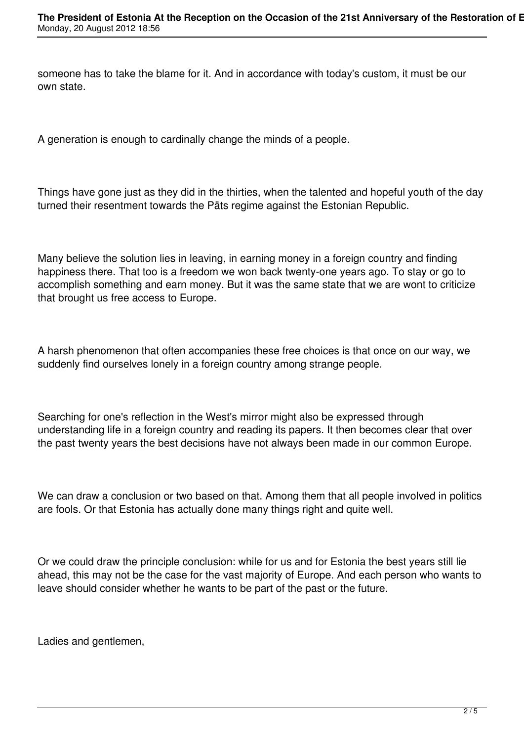someone has to take the blame for it. And in accordance with today's custom, it must be our own state.

A generation is enough to cardinally change the minds of a people.

Things have gone just as they did in the thirties, when the talented and hopeful youth of the day turned their resentment towards the Päts regime against the Estonian Republic.

Many believe the solution lies in leaving, in earning money in a foreign country and finding happiness there. That too is a freedom we won back twenty-one years ago. To stay or go to accomplish something and earn money. But it was the same state that we are wont to criticize that brought us free access to Europe.

A harsh phenomenon that often accompanies these free choices is that once on our way, we suddenly find ourselves lonely in a foreign country among strange people.

Searching for one's reflection in the West's mirror might also be expressed through understanding life in a foreign country and reading its papers. It then becomes clear that over the past twenty years the best decisions have not always been made in our common Europe.

We can draw a conclusion or two based on that. Among them that all people involved in politics are fools. Or that Estonia has actually done many things right and quite well.

Or we could draw the principle conclusion: while for us and for Estonia the best years still lie ahead, this may not be the case for the vast majority of Europe. And each person who wants to leave should consider whether he wants to be part of the past or the future.

Ladies and gentlemen.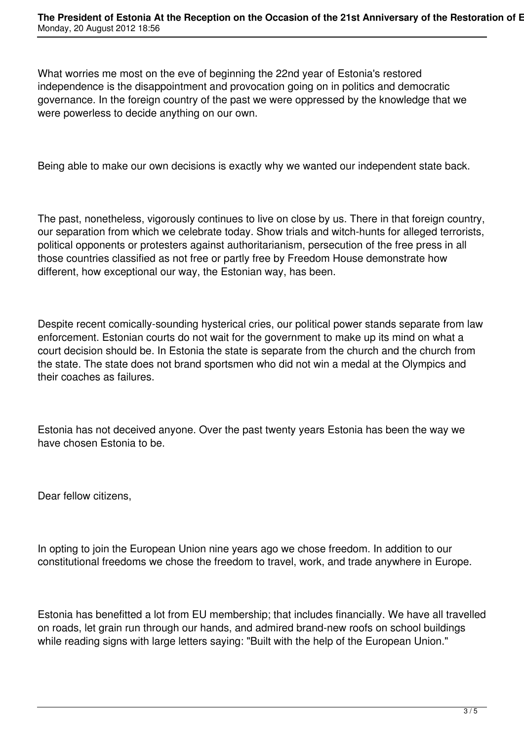What worries me most on the eve of beginning the 22nd year of Estonia's restored independence is the disappointment and provocation going on in politics and democratic governance. In the foreign country of the past we were oppressed by the knowledge that we were powerless to decide anything on our own.

Being able to make our own decisions is exactly why we wanted our independent state back.

The past, nonetheless, vigorously continues to live on close by us. There in that foreign country, our separation from which we celebrate today. Show trials and witch-hunts for alleged terrorists, political opponents or protesters against authoritarianism, persecution of the free press in all those countries classified as not free or partly free by Freedom House demonstrate how different, how exceptional our way, the Estonian way, has been.

Despite recent comically-sounding hysterical cries, our political power stands separate from law enforcement. Estonian courts do not wait for the government to make up its mind on what a court decision should be. In Estonia the state is separate from the church and the church from the state. The state does not brand sportsmen who did not win a medal at the Olympics and their coaches as failures.

Estonia has not deceived anyone. Over the past twenty years Estonia has been the way we have chosen Estonia to be.

Dear fellow citizens,

In opting to join the European Union nine years ago we chose freedom. In addition to our constitutional freedoms we chose the freedom to travel, work, and trade anywhere in Europe.

Estonia has benefitted a lot from EU membership; that includes financially. We have all travelled on roads, let grain run through our hands, and admired brand-new roofs on school buildings while reading signs with large letters saying: "Built with the help of the European Union."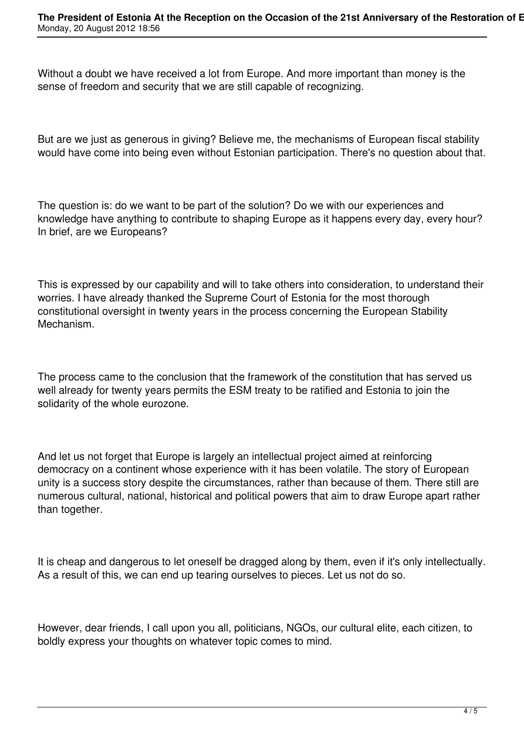Without a doubt we have received a lot from Europe. And more important than money is the sense of freedom and security that we are still capable of recognizing.

But are we just as generous in giving? Believe me, the mechanisms of European fiscal stability would have come into being even without Estonian participation. There's no question about that.

The question is: do we want to be part of the solution? Do we with our experiences and knowledge have anything to contribute to shaping Europe as it happens every day, every hour? In brief, are we Europeans?

This is expressed by our capability and will to take others into consideration, to understand their worries. I have already thanked the Supreme Court of Estonia for the most thorough constitutional oversight in twenty years in the process concerning the European Stability Mechanism.

The process came to the conclusion that the framework of the constitution that has served us well already for twenty years permits the ESM treaty to be ratified and Estonia to join the solidarity of the whole eurozone.

And let us not forget that Europe is largely an intellectual project aimed at reinforcing democracy on a continent whose experience with it has been volatile. The story of European unity is a success story despite the circumstances, rather than because of them. There still are numerous cultural, national, historical and political powers that aim to draw Europe apart rather than together.

It is cheap and dangerous to let oneself be dragged along by them, even if it's only intellectually. As a result of this, we can end up tearing ourselves to pieces. Let us not do so.

However, dear friends, I call upon you all, politicians, NGOs, our cultural elite, each citizen, to boldly express your thoughts on whatever topic comes to mind.